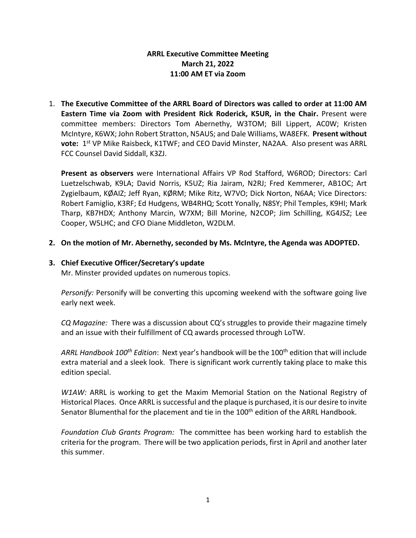# **ARRL Executive Committee Meeting March 21, 2022 11:00 AM ET via Zoom**

1. **The Executive Committee of the ARRL Board of Directors was called to order at 11:00 AM Eastern Time via Zoom with President Rick Roderick, K5UR, in the Chair.** Present were committee members: Directors Tom Abernethy, W3TOM; Bill Lippert, AC0W; Kristen McIntyre, K6WX; John Robert Stratton, N5AUS; and Dale Williams, WA8EFK. **Present without vote:** 1st VP Mike Raisbeck, K1TWF; and CEO David Minster, NA2AA. Also present was ARRL FCC Counsel David Siddall, K3ZJ.

**Present as observers** were International Affairs VP Rod Stafford, W6ROD; Directors: Carl Luetzelschwab, K9LA; David Norris, K5UZ; Ria Jairam, N2RJ; Fred Kemmerer, AB1OC; Art Zygielbaum, KØAIZ; Jeff Ryan, KØRM; Mike Ritz, W7VO; Dick Norton, N6AA; Vice Directors: Robert Famiglio, K3RF; Ed Hudgens, WB4RHQ; Scott Yonally, N8SY; Phil Temples, K9HI; Mark Tharp, KB7HDX; Anthony Marcin, W7XM; Bill Morine, N2COP; Jim Schilling, KG4JSZ; Lee Cooper, W5LHC; and CFO Diane Middleton, W2DLM.

**2. On the motion of Mr. Abernethy, seconded by Ms. McIntyre, the Agenda was ADOPTED.**

## **3. Chief Executive Officer/Secretary's update**

Mr. Minster provided updates on numerous topics.

*Personify:* Personify will be converting this upcoming weekend with the software going live early next week.

*CQ Magazine:* There was a discussion about CQ's struggles to provide their magazine timely and an issue with their fulfillment of CQ awards processed through LoTW.

*ARRL Handbook 100th Edition*: Next year's handbook will be the 100th edition that will include extra material and a sleek look. There is significant work currently taking place to make this edition special.

*W1AW:* ARRL is working to get the Maxim Memorial Station on the National Registry of Historical Places. Once ARRL is successful and the plaque is purchased, it is our desire to invite Senator Blumenthal for the placement and tie in the 100<sup>th</sup> edition of the ARRL Handbook.

*Foundation Club Grants Program:* The committee has been working hard to establish the criteria for the program. There will be two application periods, first in April and another later this summer.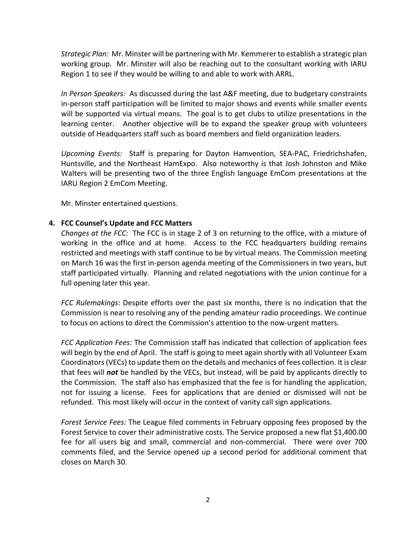*Strategic Plan:* Mr. Minster will be partnering with Mr. Kemmerer to establish a strategic plan working group. Mr. Minster will also be reaching out to the consultant working with IARU Region 1 to see if they would be willing to and able to work with ARRL.

*In Person Speakers:* As discussed during the last A&F meeting, due to budgetary constraints in-person staff participation will be limited to major shows and events while smaller events will be supported via virtual means. The goal is to get clubs to utilize presentations in the learning center. Another objective will be to expand the speaker group with volunteers outside of Headquarters staff such as board members and field organization leaders.

*Upcoming Events:* Staff is preparing for Dayton Hamvention, SEA-PAC, Friedrichshafen, Huntsville, and the Northeast HamExpo. Also noteworthy is that Josh Johnston and Mike Walters will be presenting two of the three English language EmCom presentations at the IARU Region 2 EmCom Meeting.

Mr. Minster entertained questions.

### **4. FCC Counsel's Update and FCC Matters**

*Changes at the FCC:* The FCC is in stage 2 of 3 on returning to the office, with a mixture of working in the office and at home. Access to the FCC headquarters building remains restricted and meetings with staff continue to be by virtual means. The Commission meeting on March 16 was the first in-person agenda meeting of the Commissioners in two years, but staff participated virtually. Planning and related negotiations with the union continue for a full opening later this year.

*FCC Rulemakings*: Despite efforts over the past six months, there is no indication that the Commission is near to resolving any of the pending amateur radio proceedings. We continue to focus on actions to direct the Commission's attention to the now-urgent matters.

*FCC Application Fees:* The Commission staff has indicated that collection of application fees will begin by the end of April. The staff is going to meet again shortly with all Volunteer Exam Coordinators (VECs) to update them on the details and mechanics of fees collection. It is clear that fees will *not* be handled by the VECs, but instead, will be paid by applicants directly to the Commission. The staff also has emphasized that the fee is for handling the application, not for issuing a license. Fees for applications that are denied or dismissed will not be refunded. This most likely will occur in the context of vanity call sign applications.

*Forest Service Fees:* The League filed comments in February opposing fees proposed by the Forest Service to cover their administrative costs. The Service proposed a new flat \$1,400.00 fee for all users big and small, commercial and non-commercial. There were over 700 comments filed, and the Service opened up a second period for additional comment that closes on March 30.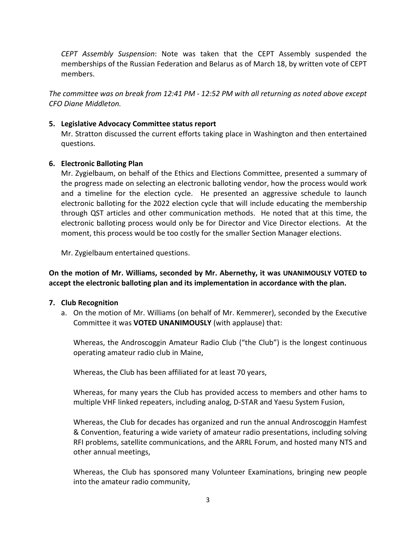*CEPT Assembly Suspension*: Note was taken that the CEPT Assembly suspended the memberships of the Russian Federation and Belarus as of March 18, by written vote of CEPT members.

*The committee was on break from 12:41 PM - 12:52 PM with all returning as noted above except CFO Diane Middleton.*

### **5. Legislative Advocacy Committee status report**

Mr. Stratton discussed the current efforts taking place in Washington and then entertained questions.

### **6. Electronic Balloting Plan**

Mr. Zygielbaum, on behalf of the Ethics and Elections Committee, presented a summary of the progress made on selecting an electronic balloting vendor, how the process would work and a timeline for the election cycle. He presented an aggressive schedule to launch electronic balloting for the 2022 election cycle that will include educating the membership through QST articles and other communication methods. He noted that at this time, the electronic balloting process would only be for Director and Vice Director elections. At the moment, this process would be too costly for the smaller Section Manager elections.

Mr. Zygielbaum entertained questions.

**On the motion of Mr. Williams, seconded by Mr. Abernethy, it was UNANIMOUSLY VOTED to accept the electronic balloting plan and its implementation in accordance with the plan.**

### **7. Club Recognition**

a. On the motion of Mr. Williams (on behalf of Mr. Kemmerer), seconded by the Executive Committee it was **VOTED UNANIMOUSLY** (with applause) that:

Whereas, the Androscoggin Amateur Radio Club ("the Club") is the longest continuous operating amateur radio club in Maine,

Whereas, the Club has been affiliated for at least 70 years,

Whereas, for many years the Club has provided access to members and other hams to multiple VHF linked repeaters, including analog, D-STAR and Yaesu System Fusion,

Whereas, the Club for decades has organized and run the annual Androscoggin Hamfest & Convention, featuring a wide variety of amateur radio presentations, including solving RFI problems, satellite communications, and the ARRL Forum, and hosted many NTS and other annual meetings,

Whereas, the Club has sponsored many Volunteer Examinations, bringing new people into the amateur radio community,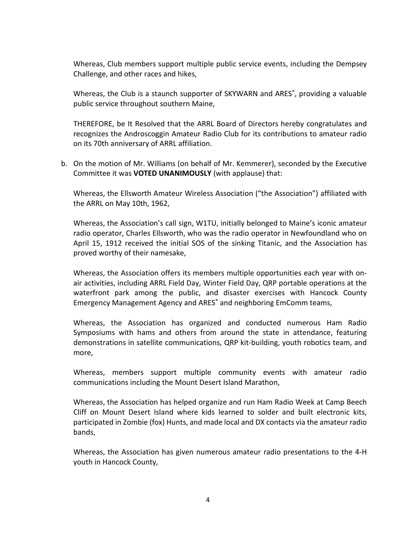Whereas, Club members support multiple public service events, including the Dempsey Challenge, and other races and hikes,

Whereas, the Club is a staunch supporter of SKYWARN and ARES<sup>®</sup>, providing a valuable public service throughout southern Maine,

THEREFORE, be It Resolved that the ARRL Board of Directors hereby congratulates and recognizes the Androscoggin Amateur Radio Club for its contributions to amateur radio on its 70th anniversary of ARRL affiliation.

b. On the motion of Mr. Williams (on behalf of Mr. Kemmerer), seconded by the Executive Committee it was **VOTED UNANIMOUSLY** (with applause) that:

Whereas, the Ellsworth Amateur Wireless Association ("the Association") affiliated with the ARRL on May 10th, 1962,

Whereas, the Association's call sign, W1TU, initially belonged to Maine's iconic amateur radio operator, Charles Ellsworth, who was the radio operator in Newfoundland who on April 15, 1912 received the initial SOS of the sinking Titanic, and the Association has proved worthy of their namesake,

Whereas, the Association offers its members multiple opportunities each year with onair activities, including ARRL Field Day, Winter Field Day, QRP portable operations at the waterfront park among the public, and disaster exercises with Hancock County Emergency Management Agency and ARES® and neighboring EmComm teams,

Whereas, the Association has organized and conducted numerous Ham Radio Symposiums with hams and others from around the state in attendance, featuring demonstrations in satellite communications, QRP kit-building, youth robotics team, and more,

Whereas, members support multiple community events with amateur radio communications including the Mount Desert Island Marathon,

Whereas, the Association has helped organize and run Ham Radio Week at Camp Beech Cliff on Mount Desert Island where kids learned to solder and built electronic kits, participated in Zombie (fox) Hunts, and made local and DX contacts via the amateur radio bands,

Whereas, the Association has given numerous amateur radio presentations to the 4-H youth in Hancock County,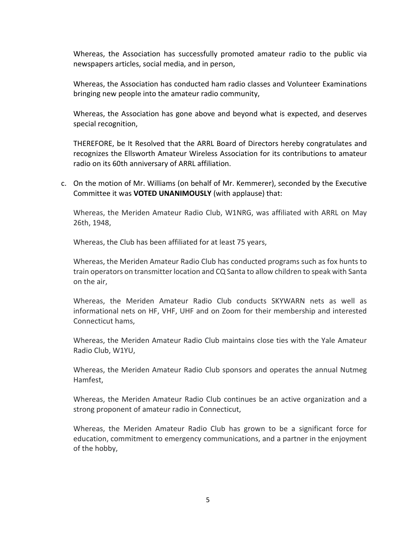Whereas, the Association has successfully promoted amateur radio to the public via newspapers articles, social media, and in person,

Whereas, the Association has conducted ham radio classes and Volunteer Examinations bringing new people into the amateur radio community,

Whereas, the Association has gone above and beyond what is expected, and deserves special recognition,

THEREFORE, be It Resolved that the ARRL Board of Directors hereby congratulates and recognizes the Ellsworth Amateur Wireless Association for its contributions to amateur radio on its 60th anniversary of ARRL affiliation.

c. On the motion of Mr. Williams (on behalf of Mr. Kemmerer), seconded by the Executive Committee it was **VOTED UNANIMOUSLY** (with applause) that:

Whereas, the Meriden Amateur Radio Club, W1NRG, was affiliated with ARRL on May 26th, 1948,

Whereas, the Club has been affiliated for at least 75 years,

Whereas, the Meriden Amateur Radio Club has conducted programs such as fox hunts to train operators on transmitter location and CQ Santa to allow children to speak with Santa on the air,

Whereas, the Meriden Amateur Radio Club conducts SKYWARN nets as well as informational nets on HF, VHF, UHF and on Zoom for their membership and interested Connecticut hams,

Whereas, the Meriden Amateur Radio Club maintains close ties with the Yale Amateur Radio Club, W1YU,

Whereas, the Meriden Amateur Radio Club sponsors and operates the annual Nutmeg Hamfest,

Whereas, the Meriden Amateur Radio Club continues be an active organization and a strong proponent of amateur radio in Connecticut,

Whereas, the Meriden Amateur Radio Club has grown to be a significant force for education, commitment to emergency communications, and a partner in the enjoyment of the hobby,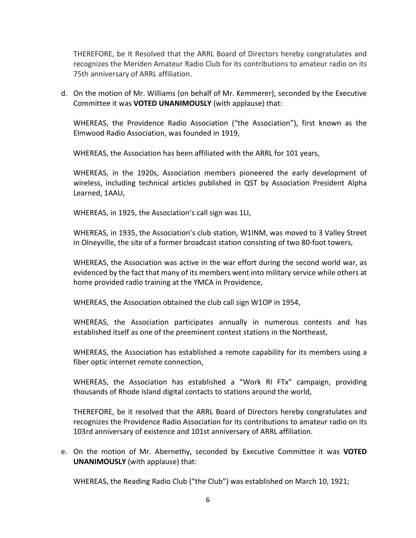THEREFORE, be It Resolved that the ARRL Board of Directors hereby congratulates and recognizes the Meriden Amateur Radio Club for its contributions to amateur radio on its 75th anniversary of ARRL affiliation.

d. On the motion of Mr. Williams (on behalf of Mr. Kemmerer), seconded by the Executive Committee it was **VOTED UNANIMOUSLY** (with applause) that:

WHEREAS, the Providence Radio Association ("the Association"), first known as the Elmwood Radio Association, was founded in 1919,

WHEREAS, the Association has been affiliated with the ARRL for 101 years,

WHEREAS, in the 1920s, Association members pioneered the early development of wireless, including technical articles published in QST by Association President Alpha Learned, 1AAU,

WHEREAS, in 1925, the Association's call sign was 1LI,

WHEREAS, in 1935, the Association's club station, W1INM, was moved to 3 Valley Street in Olneyville, the site of a former broadcast station consisting of two 80-foot towers,

WHEREAS, the Association was active in the war effort during the second world war, as evidenced by the fact that many of its members went into military service while others at home provided radio training at the YMCA in Providence,

WHEREAS, the Association obtained the club call sign W1OP in 1954,

WHEREAS, the Association participates annually in numerous contests and has established itself as one of the preeminent contest stations in the Northeast,

WHEREAS, the Association has established a remote capability for its members using a fiber optic internet remote connection,

WHEREAS, the Association has established a "Work RI FTx" campaign, providing thousands of Rhode Island digital contacts to stations around the world,

THEREFORE, be it resolved that the ARRL Board of Directors hereby congratulates and recognizes the Providence Radio Association for its contributions to amateur radio on its 103rd anniversary of existence and 101st anniversary of ARRL affiliation.

e. On the motion of Mr. Abernethy, seconded by Executive Committee it was **VOTED UNANIMOUSLY** (with applause) that:

WHEREAS, the Reading Radio Club ("the Club") was established on March 10, 1921;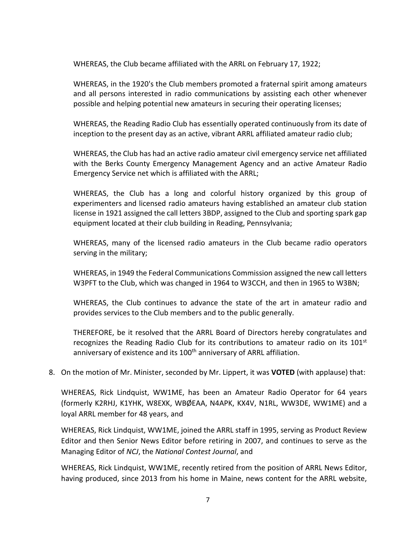WHEREAS, the Club became affiliated with the ARRL on February 17, 1922;

WHEREAS, in the 1920's the Club members promoted a fraternal spirit among amateurs and all persons interested in radio communications by assisting each other whenever possible and helping potential new amateurs in securing their operating licenses;

WHEREAS, the Reading Radio Club has essentially operated continuously from its date of inception to the present day as an active, vibrant ARRL affiliated amateur radio club;

WHEREAS, the Club has had an active radio amateur civil emergency service net affiliated with the Berks County Emergency Management Agency and an active Amateur Radio Emergency Service net which is affiliated with the ARRL;

WHEREAS, the Club has a long and colorful history organized by this group of experimenters and licensed radio amateurs having established an amateur club station license in 1921 assigned the call letters 3BDP, assigned to the Club and sporting spark gap equipment located at their club building in Reading, Pennsylvania;

WHEREAS, many of the licensed radio amateurs in the Club became radio operators serving in the military;

WHEREAS, in 1949 the Federal Communications Commission assigned the new call letters W3PFT to the Club, which was changed in 1964 to W3CCH, and then in 1965 to W3BN;

WHEREAS, the Club continues to advance the state of the art in amateur radio and provides services to the Club members and to the public generally.

THEREFORE, be it resolved that the ARRL Board of Directors hereby congratulates and recognizes the Reading Radio Club for its contributions to amateur radio on its  $101<sup>st</sup>$ anniversary of existence and its 100<sup>th</sup> anniversary of ARRL affiliation.

8. On the motion of Mr. Minister, seconded by Mr. Lippert, it was **VOTED** (with applause) that:

WHEREAS, Rick Lindquist, WW1ME, has been an Amateur Radio Operator for 64 years (formerly K2RHJ, K1YHK, W8EXK, WBØEAA, N4APK, KX4V, N1RL, WW3DE, WW1ME) and a loyal ARRL member for 48 years, and

WHEREAS, Rick Lindquist, WW1ME, joined the ARRL staff in 1995, serving as Product Review Editor and then Senior News Editor before retiring in 2007, and continues to serve as the Managing Editor of *NCJ*, the *National Contest Journal*, and

WHEREAS, Rick Lindquist, WW1ME, recently retired from the position of ARRL News Editor, having produced, since 2013 from his home in Maine, news content for the ARRL website,